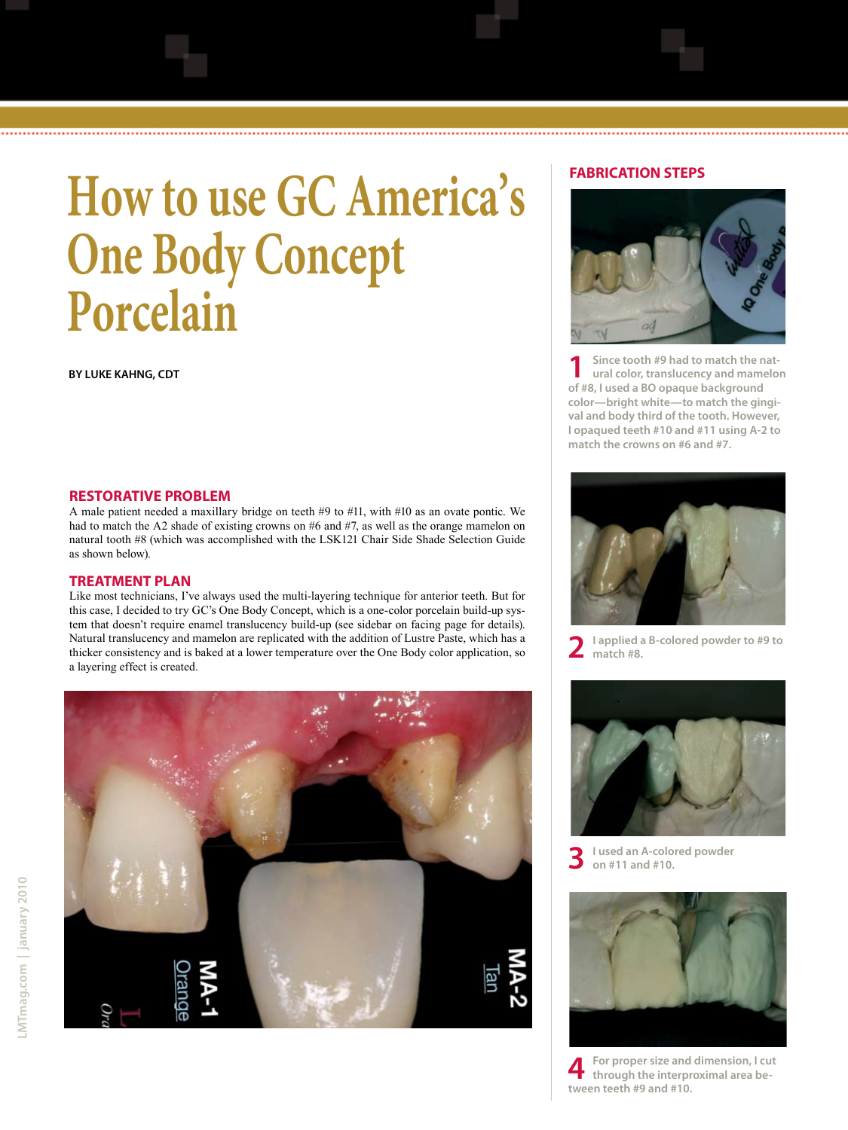# **How to use GC America's One Body Concept Porcelain**

**By Luke Kahng, CDT**

### **FABRICATION STEPS**



...............................

**1 Since tooth #9 had to match the nat-ural color, translucency and mamelon of #8, I used a BO opaque background color—bright white—to match the gingival and body third of the tooth. However, I opaqued teeth #10 and #11 using A-2 to match the crowns on #6 and #7.** 

#### **restorative problem**

A male patient needed a maxillary bridge on teeth #9 to #11, with #10 as an ovate pontic. We had to match the A2 shade of existing crowns on #6 and #7, as well as the orange mamelon on natural tooth #8 (which was accomplished with the LSK121 Chair Side Shade Selection Guide as shown below).

#### **TREATMENT PLAN**

Like most technicians, I've always used the multi-layering technique for anterior teeth. But for this case, I decided to try GC's One Body Concept, which is a one-color porcelain build-up system that doesn't require enamel translucency build-up (see sidebar on facing page for details). Natural translucency and mamelon are replicated with the addition of Lustre Paste, which has a thicker consistency and is baked at a lower temperature over the One Body color application, so a layering effect is created.





**2 I applied a B-colored powder to #9 to match #8.**



**3 I used an A-colored powder on #11 and #10.**



**4 For proper size and dimension, I cut through the interproximal area between teeth #9 and #10.**